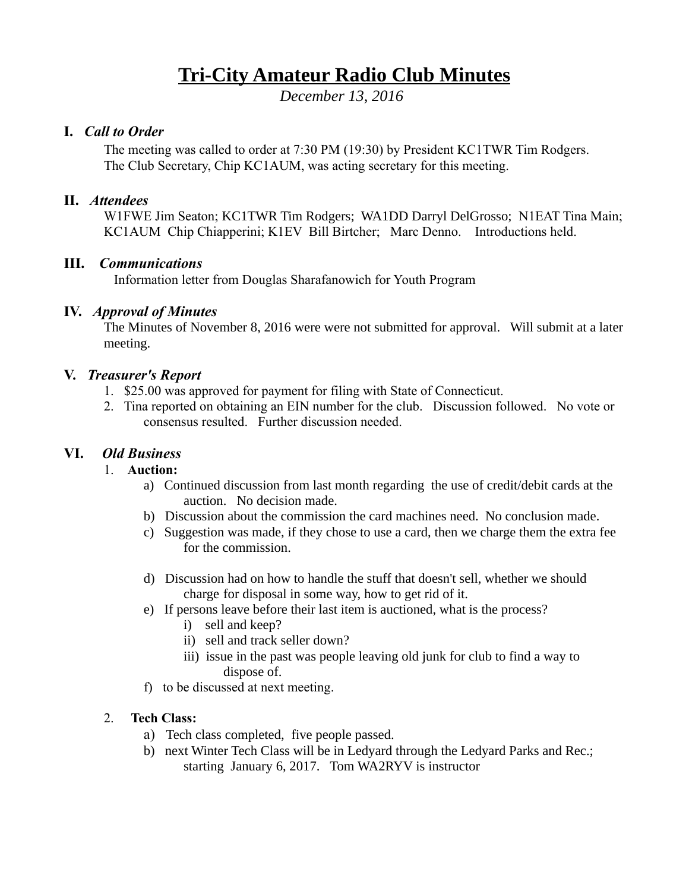# **Tri-City Amateur Radio Club Minutes**

*December 13, 2016* 

## **I.** *Call to Order*

The meeting was called to order at 7:30 PM (19:30) by President KC1TWR Tim Rodgers. The Club Secretary, Chip KC1AUM, was acting secretary for this meeting.

## **II.** *Attendees*

W1FWE Jim Seaton; KC1TWR Tim Rodgers; WA1DD Darryl DelGrosso; N1EAT Tina Main; KC1AUM Chip Chiapperini; K1EV Bill Birtcher; Marc Denno. Introductions held.

## **III.** *Communications*

Information letter from Douglas Sharafanowich for Youth Program

## **IV.** *Approval of Minutes*

The Minutes of November 8, 2016 were were not submitted for approval. Will submit at a later meeting.

## **V.** *Treasurer's Report*

- 1. \$25.00 was approved for payment for filing with State of Connecticut.
- 2. Tina reported on obtaining an EIN number for the club. Discussion followed. No vote or consensus resulted. Further discussion needed.

# **VI.** *Old Business*

## 1. **Auction:**

- a) Continued discussion from last month regarding the use of credit/debit cards at the auction. No decision made.
- b) Discussion about the commission the card machines need. No conclusion made.
- c) Suggestion was made, if they chose to use a card, then we charge them the extra fee for the commission.
- d) Discussion had on how to handle the stuff that doesn't sell, whether we should charge for disposal in some way, how to get rid of it.
- e) If persons leave before their last item is auctioned, what is the process?
	- i) sell and keep?
	- ii) sell and track seller down?
	- iii) issue in the past was people leaving old junk for club to find a way to dispose of.
- f) to be discussed at next meeting.

## 2. **Tech Class:**

- a) Tech class completed, five people passed.
- b) next Winter Tech Class will be in Ledyard through the Ledyard Parks and Rec.; starting January 6, 2017. Tom WA2RYV is instructor